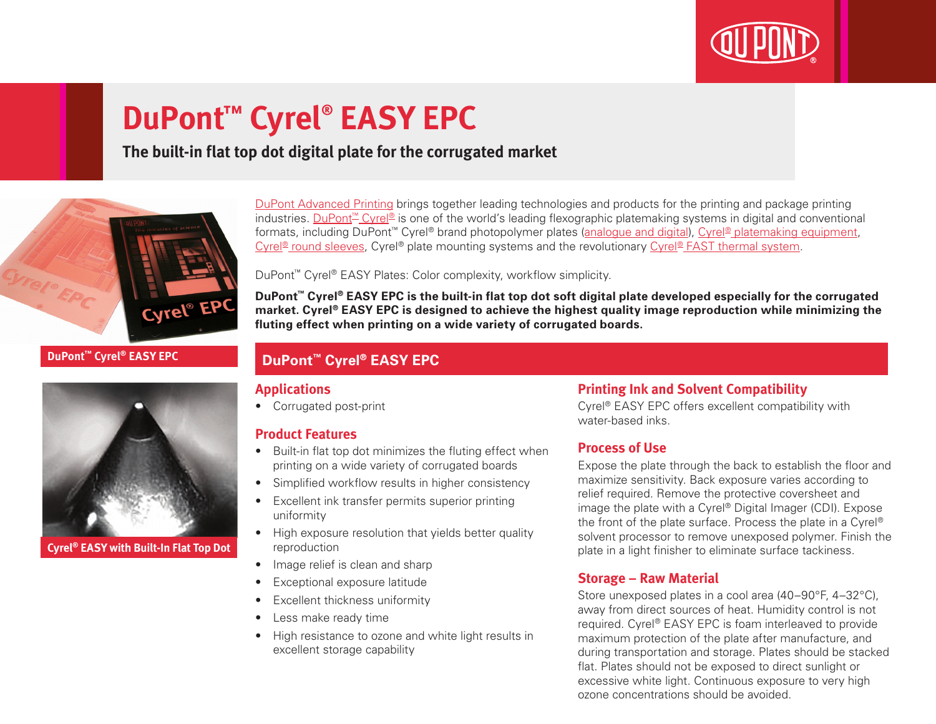

# **DuPont™ Cyrel® EASY EPC**

## **The built-in flat top dot digital plate for the corrugated market**



#### **DuPont™ Cyrel® EASY EPC**



**Cyrel® EASY with Built-In Flat Top Dot**

[DuPont Advanced Printing](http://www.dupont.co.uk/products-and-services/printing-package-printing.html) brings together leading technologies and products for the printing and package printing industries. [DuPont™ Cyrel®](http://www.dupont.co.uk/products-and-services/printing-package-printing/flexographic-platemaking-systems/brands/cyrel.html) is one of the world's leading flexographic platemaking systems in digital and conventional formats, including DuPont<sup>™</sup> Cyrel® brand photopolymer plates ([analogue and digital\)](http://www.dupont.co.uk/products-and-services/printing-package-printing/flexographic-platemaking-systems/brands/cyrel/products/cyrel-flexo-plates.html), [Cyrel® platemaking equipment,](http://www.dupont.co.uk/products-and-services/printing-package-printing/flexographic-platemaking-systems/brands/cyrel/products/cyrel-platemaking-equipment.html) Cyrel<sup>®</sup> round sleeves, Cyrel® plate mounting systems and the revolutionary [Cyrel® FAST thermal system.](http://www.dupont.co.uk/products-and-services/printing-package-printing/flexographic-platemaking-systems/brands/cyrel/products/cyrel-FAST-thermal-workflow.html)

DuPont™ Cyrel® EASY Plates: Color complexity, workflow simplicity.

**DuPont™ Cyrel® EASY EPC is the built-in flat top dot soft digital plate developed especially for the corrugated market. Cyrel® EASY EPC is designed to achieve the highest quality image reproduction while minimizing the fluting effect when printing on a wide variety of corrugated boards.**

### **DuPont™ Cyrel® EASY EPC**

#### **Applications**

• Corrugated post-print

#### **Product Features**

- Built-in flat top dot minimizes the fluting effect when printing on a wide variety of corrugated boards
- Simplified workflow results in higher consistency
- Excellent ink transfer permits superior printing uniformity
- High exposure resolution that yields better quality reproduction
- Image relief is clean and sharp
- Exceptional exposure latitude
- Excellent thickness uniformity
- Less make ready time
- High resistance to ozone and white light results in excellent storage capability

#### **Printing Ink and Solvent Compatibility**

Cyrel® EASY EPC offers excellent compatibility with water-based inks.

#### **Process of Use**

Expose the plate through the back to establish the floor and maximize sensitivity. Back exposure varies according to relief required. Remove the protective coversheet and image the plate with a Cyrel® Digital Imager (CDI). Expose the front of the plate surface. Process the plate in a Cyrel® solvent processor to remove unexposed polymer. Finish the plate in a light finisher to eliminate surface tackiness.

#### **Storage – Raw Material**

Store unexposed plates in a cool area (40–90°F, 4–32°C). away from direct sources of heat. Humidity control is not required. Cyrel® EASY EPC is foam interleaved to provide maximum protection of the plate after manufacture, and during transportation and storage. Plates should be stacked flat. Plates should not be exposed to direct sunlight or excessive white light. Continuous exposure to very high ozone concentrations should be avoided.